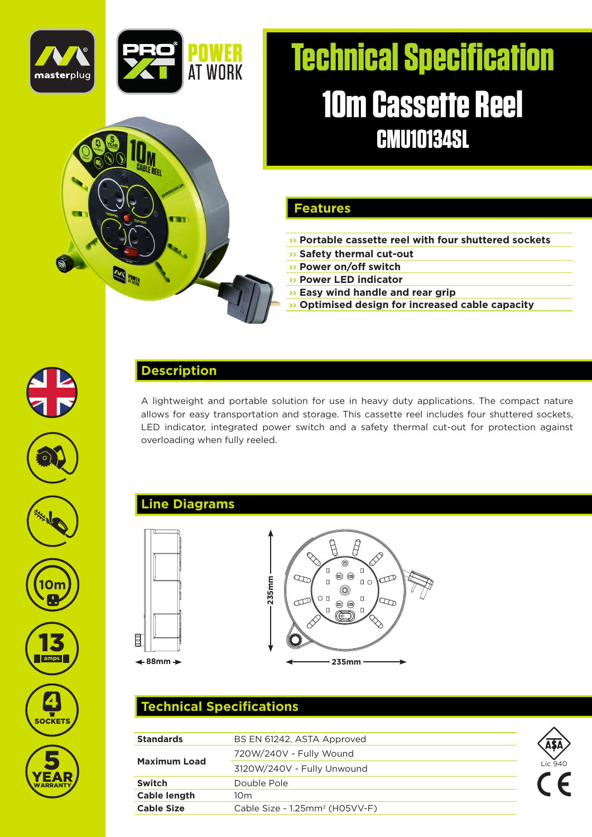

.<br>Refe

**SALL** 

# **Technical Specification 10m Cassette Reel CMU10134SL**

### **Features**

- **›› Portable cassette reel with four shuttered sockets**
- **›› Safety thermal cut-out**
- **›› Power on/off switch**
- **›› Power LED indicator**
- **›› Easy wind handle and rear grip**
- **›› Optimised design for increased cable capacity**



### **Description**

m

A lightweight and portable solution for use in heavy duty applications. The compact nature allows for easy transportation and storage. This cassette reel includes four shuttered sockets, LED indicator, integrated power switch and a safety thermal cut-out for protection against overloading when fully reeled.

## **Line Diagrams**





# **Technical Specifications**

| <b>Standards</b>    | BS EN 61242. ASTA Approved                 |         |
|---------------------|--------------------------------------------|---------|
| <b>Maximum Load</b> | 720W/240V - Fully Wound                    |         |
|                     | 3120W/240V - Fully Unwound                 | Lic 940 |
| <b>Switch</b>       | Double Pole                                |         |
| <b>Cable length</b> | 10m                                        |         |
| <b>Cable Size</b>   | Cable Size - 1.25mm <sup>2</sup> (H05VV-F) |         |



13**amps**

**10m**